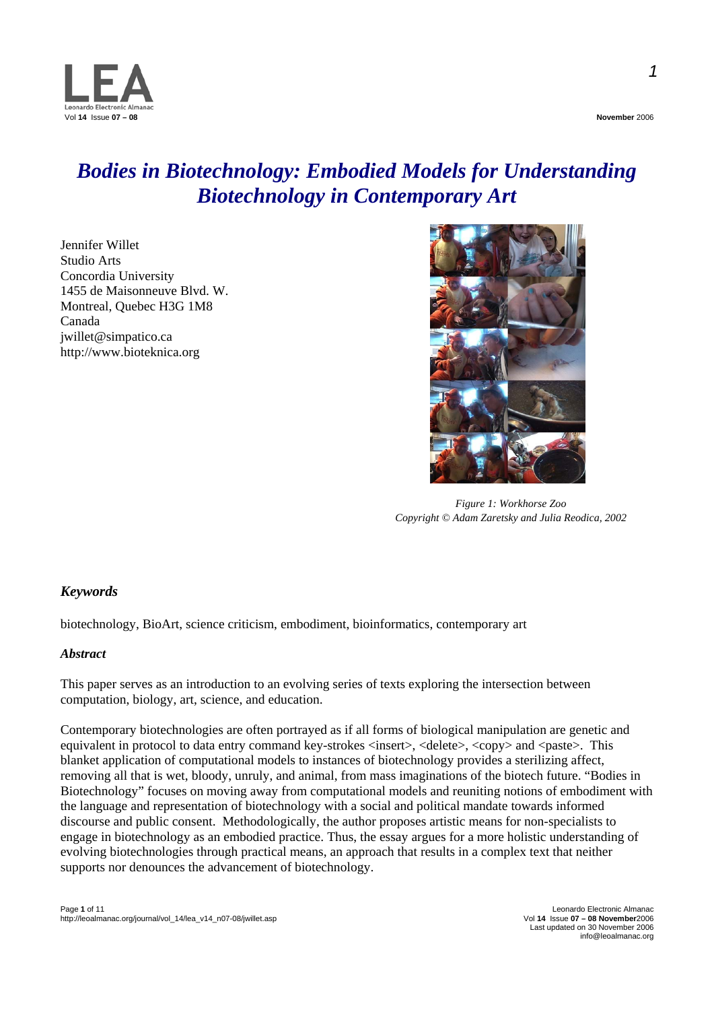

# *Bodies in Biotechnology: Embodied Models for Understanding Biotechnology in Contemporary Art*

Jennifer Willet Studio Arts Concordia University 1455 de Maisonneuve Blvd. W. Montreal, Quebec H3G 1M8 Canada jwillet@simpatico.ca http://www.bioteknica.org



*Figure 1: Workhorse Zoo Copyright © Adam Zaretsky and Julia Reodica, 2002* 

# *Keywords*

biotechnology, BioArt, science criticism, embodiment, bioinformatics, contemporary art

# *Abstract*

This paper serves as an introduction to an evolving series of texts exploring the intersection between computation, biology, art, science, and education.

Contemporary biotechnologies are often portrayed as if all forms of biological manipulation are genetic and equivalent in protocol to data entry command key-strokes  $\langle$  insert $\rangle$ ,  $\langle$  delete $\rangle$ ,  $\langle$  copy $\rangle$  and  $\langle$  paste $\rangle$ . This blanket application of computational models to instances of biotechnology provides a sterilizing affect, removing all that is wet, bloody, unruly, and animal, from mass imaginations of the biotech future. "Bodies in Biotechnology" focuses on moving away from computational models and reuniting notions of embodiment with the language and representation of biotechnology with a social and political mandate towards informed discourse and public consent. Methodologically, the author proposes artistic means for non-specialists to engage in biotechnology as an embodied practice. Thus, the essay argues for a more holistic understanding of evolving biotechnologies through practical means, an approach that results in a complex text that neither supports nor denounces the advancement of biotechnology.

Last updated on 30 November 2006 info@leoalmanac.org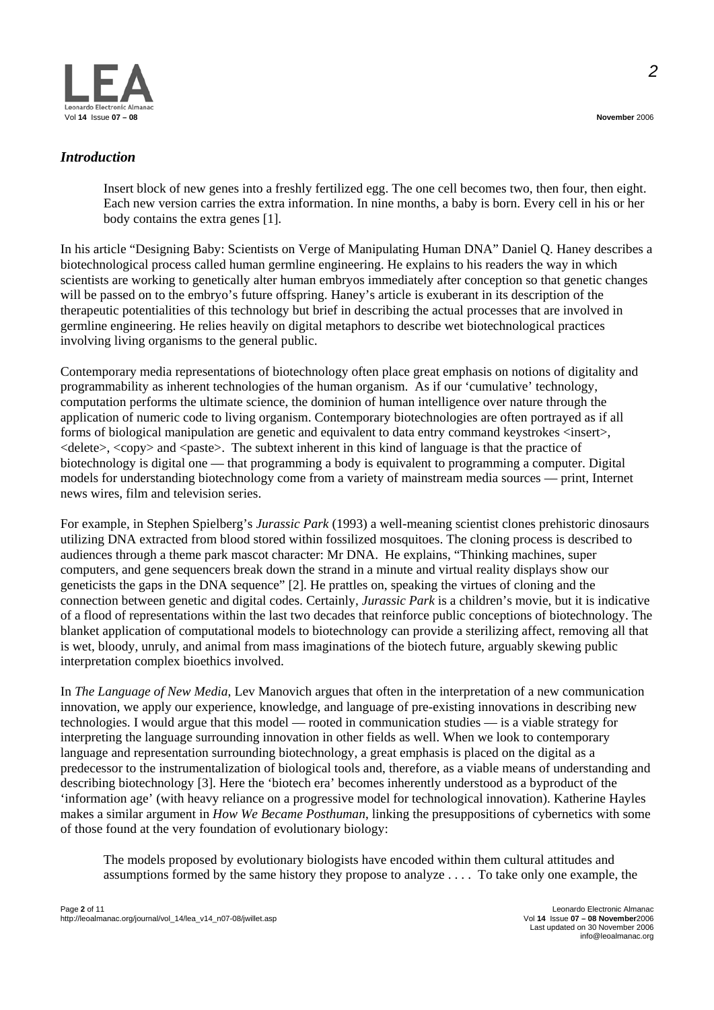

#### *Introduction*

Insert block of new genes into a freshly fertilized egg. The one cell becomes two, then four, then eight. Each new version carries the extra information. In nine months, a baby is born. Every cell in his or her body contains the extra genes [1].

In his article "Designing Baby: Scientists on Verge of Manipulating Human DNA" Daniel Q. Haney describes a biotechnological process called human germline engineering. He explains to his readers the way in which scientists are working to genetically alter human embryos immediately after conception so that genetic changes will be passed on to the embryo's future offspring. Haney's article is exuberant in its description of the therapeutic potentialities of this technology but brief in describing the actual processes that are involved in germline engineering. He relies heavily on digital metaphors to describe wet biotechnological practices involving living organisms to the general public.

Contemporary media representations of biotechnology often place great emphasis on notions of digitality and programmability as inherent technologies of the human organism. As if our 'cumulative' technology, computation performs the ultimate science, the dominion of human intelligence over nature through the application of numeric code to living organism. Contemporary biotechnologies are often portrayed as if all forms of biological manipulation are genetic and equivalent to data entry command keystrokes <insert>,  $\leq$  delete $\geq$ ,  $\leq$  copy $\geq$  and  $\leq$  paste $\geq$ . The subtext inherent in this kind of language is that the practice of biotechnology is digital one — that programming a body is equivalent to programming a computer. Digital models for understanding biotechnology come from a variety of mainstream media sources — print, Internet news wires, film and television series.

For example, in Stephen Spielberg's *Jurassic Park* (1993) a well-meaning scientist clones prehistoric dinosaurs utilizing DNA extracted from blood stored within fossilized mosquitoes. The cloning process is described to audiences through a theme park mascot character: Mr DNA. He explains, "Thinking machines, super computers, and gene sequencers break down the strand in a minute and virtual reality displays show our geneticists the gaps in the DNA sequence" [2]. He prattles on, speaking the virtues of cloning and the connection between genetic and digital codes. Certainly, *Jurassic Park* is a children's movie, but it is indicative of a flood of representations within the last two decades that reinforce public conceptions of biotechnology. The blanket application of computational models to biotechnology can provide a sterilizing affect, removing all that is wet, bloody, unruly, and animal from mass imaginations of the biotech future, arguably skewing public interpretation complex bioethics involved.

In *The Language of New Media*, Lev Manovich argues that often in the interpretation of a new communication innovation, we apply our experience, knowledge, and language of pre-existing innovations in describing new technologies. I would argue that this model — rooted in communication studies — is a viable strategy for interpreting the language surrounding innovation in other fields as well. When we look to contemporary language and representation surrounding biotechnology, a great emphasis is placed on the digital as a predecessor to the instrumentalization of biological tools and, therefore, as a viable means of understanding and describing biotechnology [3]. Here the 'biotech era' becomes inherently understood as a byproduct of the 'information age' (with heavy reliance on a progressive model for technological innovation). Katherine Hayles makes a similar argument in *How We Became Posthuman*, linking the presuppositions of cybernetics with some of those found at the very foundation of evolutionary biology:

The models proposed by evolutionary biologists have encoded within them cultural attitudes and assumptions formed by the same history they propose to analyze . . . . To take only one example, the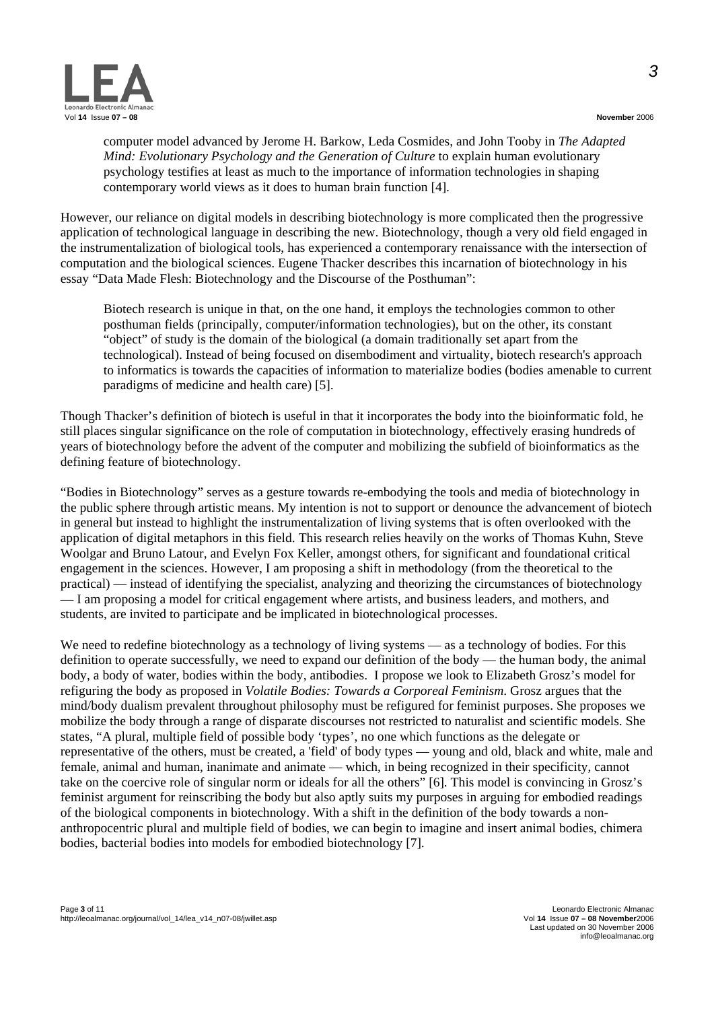



computer model advanced by Jerome H. Barkow, Leda Cosmides, and John Tooby in *The Adapted Mind: Evolutionary Psychology and the Generation of Culture* to explain human evolutionary psychology testifies at least as much to the importance of information technologies in shaping contemporary world views as it does to human brain function [4].

However, our reliance on digital models in describing biotechnology is more complicated then the progressive application of technological language in describing the new. Biotechnology, though a very old field engaged in the instrumentalization of biological tools, has experienced a contemporary renaissance with the intersection of computation and the biological sciences. Eugene Thacker describes this incarnation of biotechnology in his essay "Data Made Flesh: Biotechnology and the Discourse of the Posthuman":

Biotech research is unique in that, on the one hand, it employs the technologies common to other posthuman fields (principally, computer/information technologies), but on the other, its constant "object" of study is the domain of the biological (a domain traditionally set apart from the technological). Instead of being focused on disembodiment and virtuality, biotech research's approach to informatics is towards the capacities of information to materialize bodies (bodies amenable to current paradigms of medicine and health care) [5].

Though Thacker's definition of biotech is useful in that it incorporates the body into the bioinformatic fold, he still places singular significance on the role of computation in biotechnology, effectively erasing hundreds of years of biotechnology before the advent of the computer and mobilizing the subfield of bioinformatics as the defining feature of biotechnology.

"Bodies in Biotechnology" serves as a gesture towards re-embodying the tools and media of biotechnology in the public sphere through artistic means. My intention is not to support or denounce the advancement of biotech in general but instead to highlight the instrumentalization of living systems that is often overlooked with the application of digital metaphors in this field. This research relies heavily on the works of Thomas Kuhn, Steve Woolgar and Bruno Latour, and Evelyn Fox Keller, amongst others, for significant and foundational critical engagement in the sciences. However, I am proposing a shift in methodology (from the theoretical to the practical) — instead of identifying the specialist, analyzing and theorizing the circumstances of biotechnology — I am proposing a model for critical engagement where artists, and business leaders, and mothers, and students, are invited to participate and be implicated in biotechnological processes.

We need to redefine biotechnology as a technology of living systems — as a technology of bodies. For this definition to operate successfully, we need to expand our definition of the body — the human body, the animal body, a body of water, bodies within the body, antibodies. I propose we look to Elizabeth Grosz's model for refiguring the body as proposed in *Volatile Bodies: Towards a Corporeal Feminism*. Grosz argues that the mind/body dualism prevalent throughout philosophy must be refigured for feminist purposes. She proposes we mobilize the body through a range of disparate discourses not restricted to naturalist and scientific models. She states, "A plural, multiple field of possible body 'types', no one which functions as the delegate or representative of the others, must be created, a 'field' of body types — young and old, black and white, male and female, animal and human, inanimate and animate — which, in being recognized in their specificity, cannot take on the coercive role of singular norm or ideals for all the others" [6]. This model is convincing in Grosz's feminist argument for reinscribing the body but also aptly suits my purposes in arguing for embodied readings of the biological components in biotechnology. With a shift in the definition of the body towards a nonanthropocentric plural and multiple field of bodies, we can begin to imagine and insert animal bodies, chimera bodies, bacterial bodies into models for embodied biotechnology [7].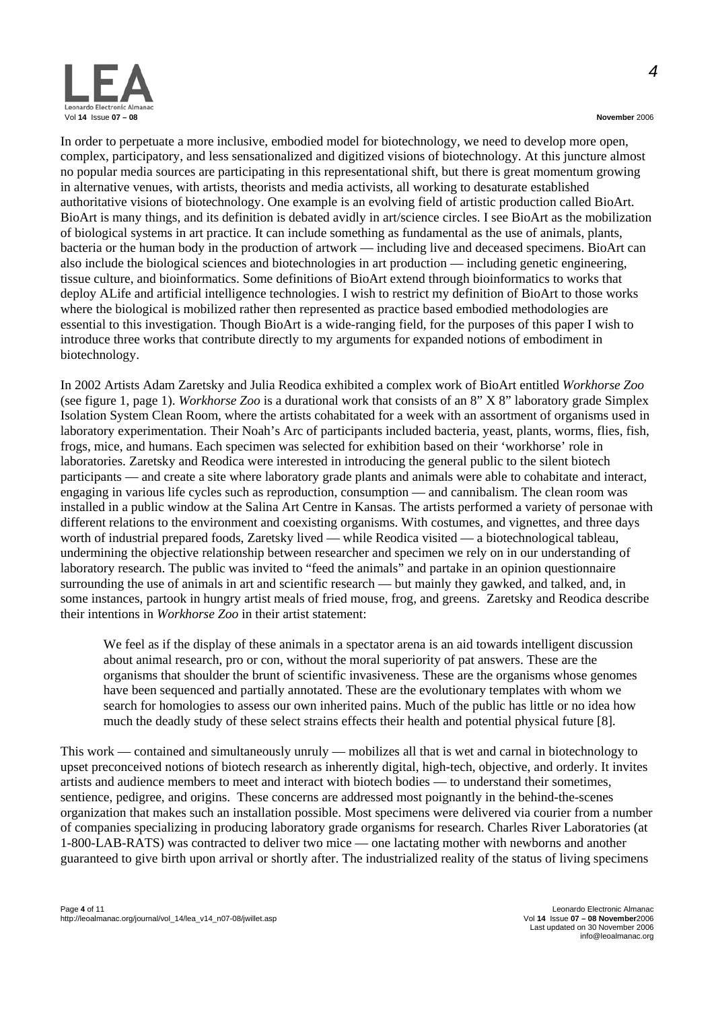

In order to perpetuate a more inclusive, embodied model for biotechnology, we need to develop more open, complex, participatory, and less sensationalized and digitized visions of biotechnology. At this juncture almost no popular media sources are participating in this representational shift, but there is great momentum growing in alternative venues, with artists, theorists and media activists, all working to desaturate established authoritative visions of biotechnology. One example is an evolving field of artistic production called BioArt. BioArt is many things, and its definition is debated avidly in art/science circles. I see BioArt as the mobilization of biological systems in art practice. It can include something as fundamental as the use of animals, plants, bacteria or the human body in the production of artwork — including live and deceased specimens. BioArt can also include the biological sciences and biotechnologies in art production — including genetic engineering, tissue culture, and bioinformatics. Some definitions of BioArt extend through bioinformatics to works that deploy ALife and artificial intelligence technologies. I wish to restrict my definition of BioArt to those works where the biological is mobilized rather then represented as practice based embodied methodologies are essential to this investigation. Though BioArt is a wide-ranging field, for the purposes of this paper I wish to introduce three works that contribute directly to my arguments for expanded notions of embodiment in biotechnology.

In 2002 Artists Adam Zaretsky and Julia Reodica exhibited a complex work of BioArt entitled *Workhorse Zoo* (see figure 1, page 1). *Workhorse Zoo* is a durational work that consists of an 8" X 8" laboratory grade Simplex Isolation System Clean Room, where the artists cohabitated for a week with an assortment of organisms used in laboratory experimentation. Their Noah's Arc of participants included bacteria, yeast, plants, worms, flies, fish, frogs, mice, and humans. Each specimen was selected for exhibition based on their 'workhorse' role in laboratories. Zaretsky and Reodica were interested in introducing the general public to the silent biotech participants — and create a site where laboratory grade plants and animals were able to cohabitate and interact, engaging in various life cycles such as reproduction, consumption — and cannibalism. The clean room was installed in a public window at the Salina Art Centre in Kansas. The artists performed a variety of personae with different relations to the environment and coexisting organisms. With costumes, and vignettes, and three days worth of industrial prepared foods, Zaretsky lived — while Reodica visited — a biotechnological tableau, undermining the objective relationship between researcher and specimen we rely on in our understanding of laboratory research. The public was invited to "feed the animals" and partake in an opinion questionnaire surrounding the use of animals in art and scientific research — but mainly they gawked, and talked, and, in some instances, partook in hungry artist meals of fried mouse, frog, and greens. Zaretsky and Reodica describe their intentions in *Workhorse Zoo* in their artist statement:

We feel as if the display of these animals in a spectator arena is an aid towards intelligent discussion about animal research, pro or con, without the moral superiority of pat answers. These are the organisms that shoulder the brunt of scientific invasiveness. These are the organisms whose genomes have been sequenced and partially annotated. These are the evolutionary templates with whom we search for homologies to assess our own inherited pains. Much of the public has little or no idea how much the deadly study of these select strains effects their health and potential physical future [8].

This work — contained and simultaneously unruly — mobilizes all that is wet and carnal in biotechnology to upset preconceived notions of biotech research as inherently digital, high-tech, objective, and orderly. It invites artists and audience members to meet and interact with biotech bodies — to understand their sometimes, sentience, pedigree, and origins. These concerns are addressed most poignantly in the behind-the-scenes organization that makes such an installation possible. Most specimens were delivered via courier from a number of companies specializing in producing laboratory grade organisms for research. Charles River Laboratories (at 1-800-LAB-RATS) was contracted to deliver two mice — one lactating mother with newborns and another guaranteed to give birth upon arrival or shortly after. The industrialized reality of the status of living specimens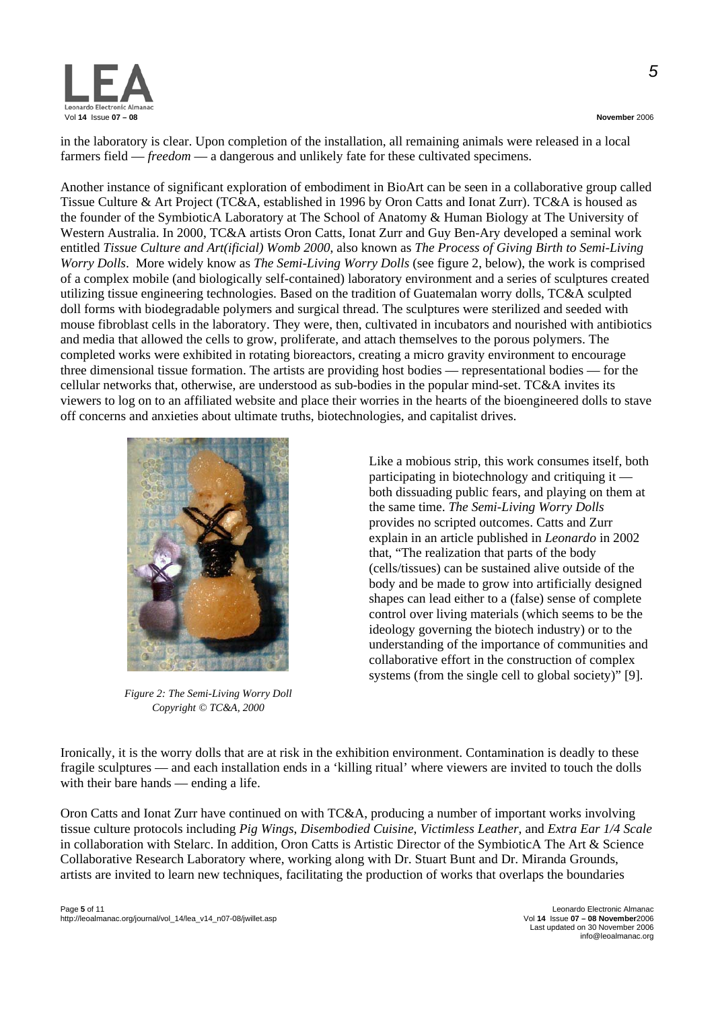

in the laboratory is clear. Upon completion of the installation, all remaining animals were released in a local farmers field — *freedom* — a dangerous and unlikely fate for these cultivated specimens.

Another instance of significant exploration of embodiment in BioArt can be seen in a collaborative group called Tissue Culture & Art Project (TC&A, established in 1996 by Oron Catts and Ionat Zurr). TC&A is housed as the founder of the SymbioticA Laboratory at The School of Anatomy & Human Biology at The University of Western Australia. In 2000, TC&A artists Oron Catts, Ionat Zurr and Guy Ben-Ary developed a seminal work entitled *Tissue Culture and Art(ificial) Womb 2000*, also known as *The Process of Giving Birth to Semi-Living Worry Dolls*. More widely know as *The Semi-Living Worry Dolls* (see figure 2, below), the work is comprised of a complex mobile (and biologically self-contained) laboratory environment and a series of sculptures created utilizing tissue engineering technologies. Based on the tradition of Guatemalan worry dolls, TC&A sculpted doll forms with biodegradable polymers and surgical thread. The sculptures were sterilized and seeded with mouse fibroblast cells in the laboratory. They were, then, cultivated in incubators and nourished with antibiotics and media that allowed the cells to grow, proliferate, and attach themselves to the porous polymers. The completed works were exhibited in rotating bioreactors, creating a micro gravity environment to encourage three dimensional tissue formation. The artists are providing host bodies — representational bodies — for the cellular networks that, otherwise, are understood as sub-bodies in the popular mind-set. TC&A invites its viewers to log on to an affiliated website and place their worries in the hearts of the bioengineered dolls to stave off concerns and anxieties about ultimate truths, biotechnologies, and capitalist drives.



*Figure 2: The Semi-Living Worry Doll Copyright © TC&A, 2000* 

Like a mobious strip, this work consumes itself, both participating in biotechnology and critiquing it both dissuading public fears, and playing on them at the same time. *The Semi-Living Worry Dolls* provides no scripted outcomes. Catts and Zurr explain in an article published in *Leonardo* in 2002 that, "The realization that parts of the body (cells/tissues) can be sustained alive outside of the body and be made to grow into artificially designed shapes can lead either to a (false) sense of complete control over living materials (which seems to be the ideology governing the biotech industry) or to the understanding of the importance of communities and collaborative effort in the construction of complex systems (from the single cell to global society)" [9].

Ironically, it is the worry dolls that are at risk in the exhibition environment. Contamination is deadly to these fragile sculptures — and each installation ends in a 'killing ritual' where viewers are invited to touch the dolls with their bare hands — ending a life.

Oron Catts and Ionat Zurr have continued on with TC&A, producing a number of important works involving tissue culture protocols including *Pig Wings*, *Disembodied Cuisine*, *Victimless Leather*, and *Extra Ear 1/4 Scale* in collaboration with Stelarc. In addition, Oron Catts is Artistic Director of the SymbioticA The Art & Science Collaborative Research Laboratory where, working along with Dr. Stuart Bunt and Dr. Miranda Grounds, artists are invited to learn new techniques, facilitating the production of works that overlaps the boundaries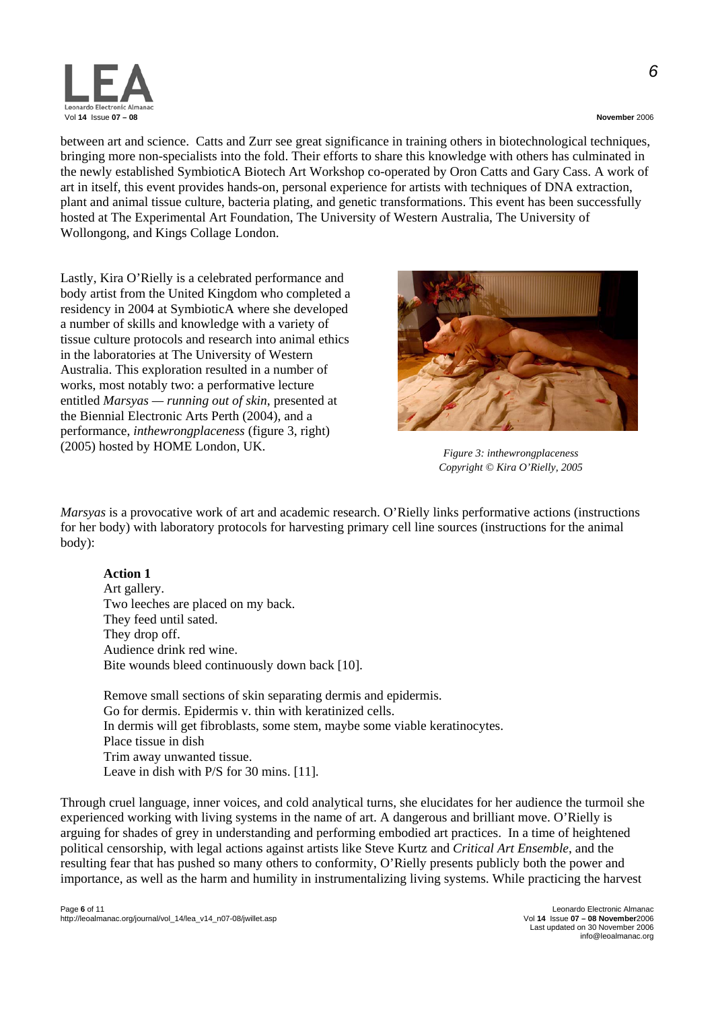

*6*

between art and science. Catts and Zurr see great significance in training others in biotechnological techniques, bringing more non-specialists into the fold. Their efforts to share this knowledge with others has culminated in the newly established SymbioticA Biotech Art Workshop co-operated by Oron Catts and Gary Cass. A work of art in itself, this event provides hands-on, personal experience for artists with techniques of DNA extraction, plant and animal tissue culture, bacteria plating, and genetic transformations. This event has been successfully hosted at The Experimental Art Foundation, The University of Western Australia, The University of Wollongong, and Kings Collage London.

Lastly, Kira O'Rielly is a celebrated performance and body artist from the United Kingdom who completed a residency in 2004 at SymbioticA where she developed a number of skills and knowledge with a variety of tissue culture protocols and research into animal ethics in the laboratories at The University of Western Australia. This exploration resulted in a number of works, most notably two: a performative lecture entitled *Marsyas — running out of skin*, presented at the Biennial Electronic Arts Perth (2004), and a performance, *inthewrongplaceness* (figure 3, right) (2005) hosted by HOME London, UK. *Figure 3: inthewrongplaceness* 



*Copyright © Kira O'Rielly, 2005* 

*Marsyas* is a provocative work of art and academic research. O'Rielly links performative actions (instructions for her body) with laboratory protocols for harvesting primary cell line sources (instructions for the animal body):

### **Action 1**

Art gallery. Two leeches are placed on my back. They feed until sated. They drop off. Audience drink red wine. Bite wounds bleed continuously down back [10].

Remove small sections of skin separating dermis and epidermis. Go for dermis. Epidermis v. thin with keratinized cells. In dermis will get fibroblasts, some stem, maybe some viable keratinocytes. Place tissue in dish Trim away unwanted tissue. Leave in dish with P/S for 30 mins. [11].

Through cruel language, inner voices, and cold analytical turns, she elucidates for her audience the turmoil she experienced working with living systems in the name of art. A dangerous and brilliant move. O'Rielly is arguing for shades of grey in understanding and performing embodied art practices. In a time of heightened political censorship, with legal actions against artists like Steve Kurtz and *Critical Art Ensemble*, and the resulting fear that has pushed so many others to conformity, O'Rielly presents publicly both the power and importance, as well as the harm and humility in instrumentalizing living systems. While practicing the harvest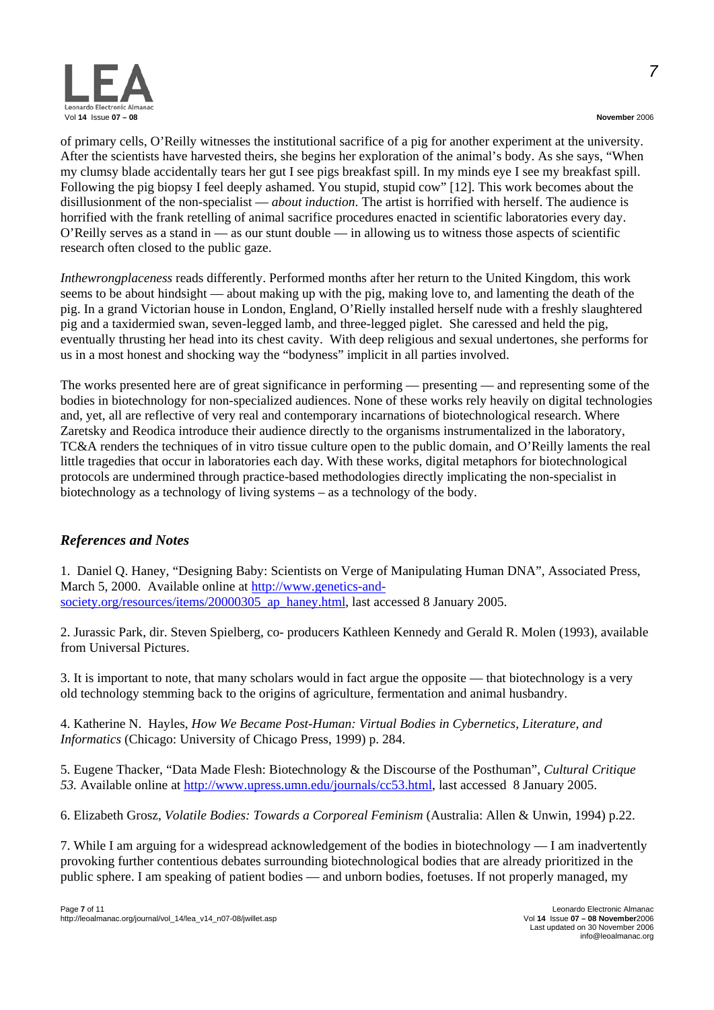

of primary cells, O'Reilly witnesses the institutional sacrifice of a pig for another experiment at the university. After the scientists have harvested theirs, she begins her exploration of the animal's body. As she says, "When my clumsy blade accidentally tears her gut I see pigs breakfast spill. In my minds eye I see my breakfast spill. Following the pig biopsy I feel deeply ashamed. You stupid, stupid cow" [12]. This work becomes about the disillusionment of the non-specialist — *about induction*. The artist is horrified with herself. The audience is horrified with the frank retelling of animal sacrifice procedures enacted in scientific laboratories every day. O'Reilly serves as a stand in — as our stunt double — in allowing us to witness those aspects of scientific research often closed to the public gaze.

*Inthewrongplaceness* reads differently. Performed months after her return to the United Kingdom, this work seems to be about hindsight — about making up with the pig, making love to, and lamenting the death of the pig. In a grand Victorian house in London, England, O'Rielly installed herself nude with a freshly slaughtered pig and a taxidermied swan, seven-legged lamb, and three-legged piglet. She caressed and held the pig, eventually thrusting her head into its chest cavity. With deep religious and sexual undertones, she performs for us in a most honest and shocking way the "bodyness" implicit in all parties involved.

The works presented here are of great significance in performing — presenting — and representing some of the bodies in biotechnology for non-specialized audiences. None of these works rely heavily on digital technologies and, yet, all are reflective of very real and contemporary incarnations of biotechnological research. Where Zaretsky and Reodica introduce their audience directly to the organisms instrumentalized in the laboratory, TC&A renders the techniques of in vitro tissue culture open to the public domain, and O'Reilly laments the real little tragedies that occur in laboratories each day. With these works, digital metaphors for biotechnological protocols are undermined through practice-based methodologies directly implicating the non-specialist in biotechnology as a technology of living systems – as a technology of the body.

# *References and Notes*

1. Daniel Q. Haney, "Designing Baby: Scientists on Verge of Manipulating Human DNA", Associated Press, March 5, 2000. Available online at [http://www.genetics-and](http://www.genetics-and-society.org/resources/items/20000305_ap_haney.html)[society.org/resources/items/20000305\\_ap\\_haney.html](http://www.genetics-and-society.org/resources/items/20000305_ap_haney.html), last accessed 8 January 2005.

2. Jurassic Park, dir. Steven Spielberg, co- producers Kathleen Kennedy and Gerald R. Molen (1993), available from Universal Pictures.

3. It is important to note, that many scholars would in fact argue the opposite — that biotechnology is a very old technology stemming back to the origins of agriculture, fermentation and animal husbandry.

4. Katherine N. Hayles, *How We Became Post-Human: Virtual Bodies in Cybernetics, Literature, and Informatics* (Chicago: University of Chicago Press, 1999) p. 284.

5. Eugene Thacker, "Data Made Flesh: Biotechnology & the Discourse of the Posthuman", *Cultural Critique 53.* Available online at [http://www.upress.umn.edu/journals/cc53.html,](http://www.upress.umn.edu/journals/cc53.html) last accessed 8 January 2005.

6. Elizabeth Grosz, *Volatile Bodies: Towards a Corporeal Feminism* (Australia: Allen & Unwin, 1994) p.22.

7. While I am arguing for a widespread acknowledgement of the bodies in biotechnology — I am inadvertently provoking further contentious debates surrounding biotechnological bodies that are already prioritized in the public sphere. I am speaking of patient bodies — and unborn bodies, foetuses. If not properly managed, my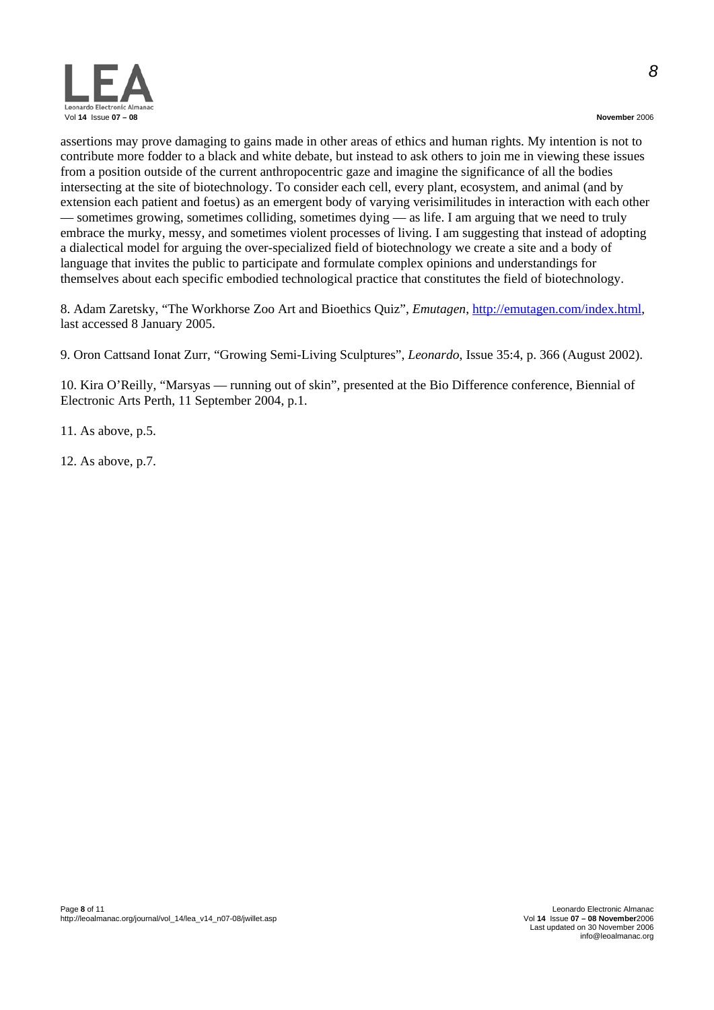

*8*

assertions may prove damaging to gains made in other areas of ethics and human rights. My intention is not to contribute more fodder to a black and white debate, but instead to ask others to join me in viewing these issues from a position outside of the current anthropocentric gaze and imagine the significance of all the bodies intersecting at the site of biotechnology. To consider each cell, every plant, ecosystem, and animal (and by extension each patient and foetus) as an emergent body of varying verisimilitudes in interaction with each other — sometimes growing, sometimes colliding, sometimes dying — as life. I am arguing that we need to truly embrace the murky, messy, and sometimes violent processes of living. I am suggesting that instead of adopting a dialectical model for arguing the over-specialized field of biotechnology we create a site and a body of language that invites the public to participate and formulate complex opinions and understandings for themselves about each specific embodied technological practice that constitutes the field of biotechnology.

8. Adam Zaretsky, "The Workhorse Zoo Art and Bioethics Quiz", *Emutagen*,<http://emutagen.com/index.html>, last accessed 8 January 2005.

9. Oron Cattsand Ionat Zurr, ["Growing Semi-Living Sculptures](http://www.tca.uwa.edu.au/publication/tcleonardo.pdf)", *Leonardo*, Issue 35:4, p. 366 (August 2002).

10. Kira O'Reilly, "Marsyas — running out of skin", presented at the Bio Difference conference, Biennial of Electronic Arts Perth, 11 September 2004, p.1.

11. As above, p.5.

12. As above, p.7.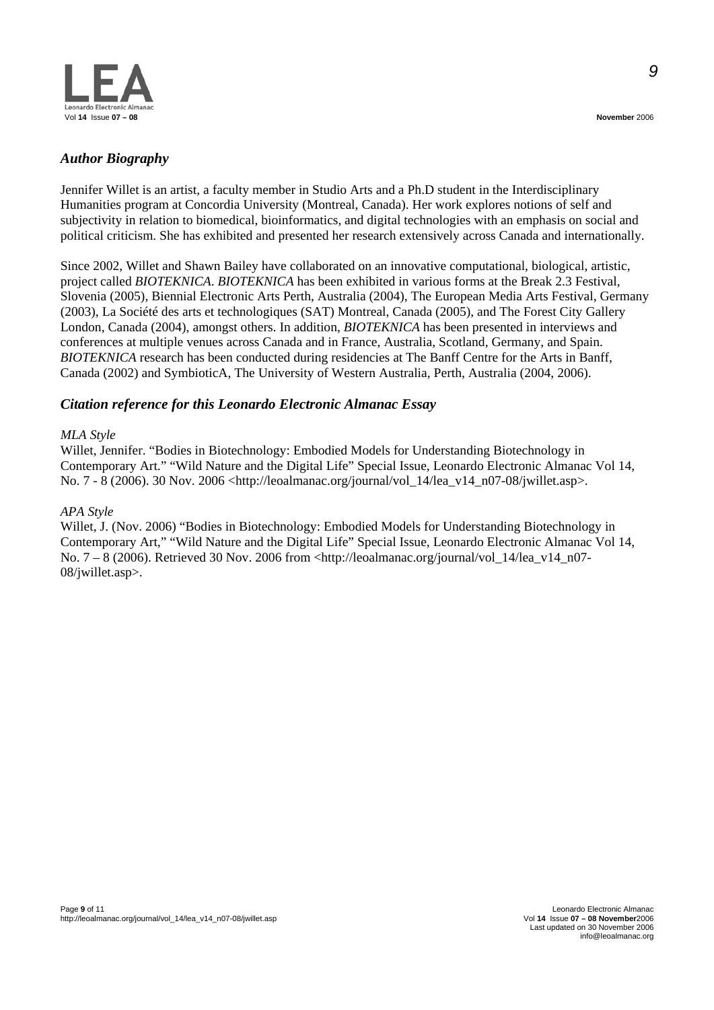

*9*

# *Author Biography*

Jennifer Willet is an artist, a faculty member in Studio Arts and a Ph.D student in the Interdisciplinary Humanities program at Concordia University (Montreal, Canada). Her work explores notions of self and subjectivity in relation to biomedical, bioinformatics, and digital technologies with an emphasis on social and political criticism. She has exhibited and presented her research extensively across Canada and internationally.

Since 2002, Willet and Shawn Bailey have collaborated on an innovative computational, biological, artistic, project called *BIOTEKNICA*. *BIOTEKNICA* has been exhibited in various forms at the Break 2.3 Festival, Slovenia (2005), Biennial Electronic Arts Perth, Australia (2004), The European Media Arts Festival, Germany (2003), La Société des arts et technologiques (SAT) Montreal, Canada (2005), and The Forest City Gallery London, Canada (2004), amongst others. In addition, *BIOTEKNICA* has been presented in interviews and conferences at multiple venues across Canada and in France, Australia, Scotland, Germany, and Spain. *BIOTEKNICA* research has been conducted during residencies at The Banff Centre for the Arts in Banff, Canada (2002) and SymbioticA, The University of Western Australia, Perth, Australia (2004, 2006).

### *Citation reference for this Leonardo Electronic Almanac Essay*

#### *MLA Style*

Willet, Jennifer. "Bodies in Biotechnology: Embodied Models for Understanding Biotechnology in Contemporary Art." "Wild Nature and the Digital Life" Special Issue, Leonardo Electronic Almanac Vol 14, No. 7 - 8 (2006). 30 Nov. 2006 <http://leoalmanac.org/journal/vol\_14/lea\_v14\_n07-08/jwillet.asp>.

#### *APA Style*

Willet, J. (Nov. 2006) "Bodies in Biotechnology: Embodied Models for Understanding Biotechnology in Contemporary Art," "Wild Nature and the Digital Life" Special Issue, Leonardo Electronic Almanac Vol 14, No. 7 – 8 (2006). Retrieved 30 Nov. 2006 from <http://leoalmanac.org/journal/vol\_14/lea\_v14\_n07- 08/jwillet.asp>.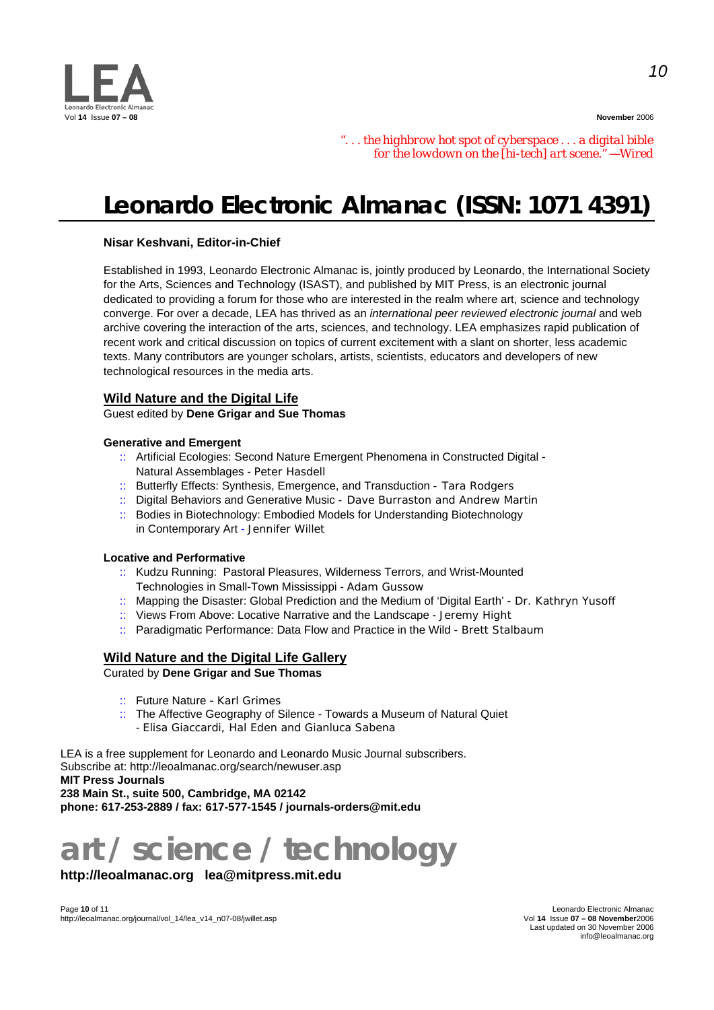

*". . . the highbrow hot spot of cyberspace . . . a digital bible for the lowdown on the [hi-tech] art scene." —Wired* 

# **Leonardo Electronic Almanac (ISSN: 1071 4391)**

#### **Nisar Keshvani, Editor-in-Chief**

Established in 1993, Leonardo Electronic Almanac is, jointly produced by Leonardo, the International Society for the Arts, Sciences and Technology (ISAST), and published by MIT Press, is an electronic journal dedicated to providing a forum for those who are interested in the realm where art, science and technology converge. For over a decade, LEA has thrived as an *international peer reviewed electronic journal* and web archive covering the interaction of the arts, sciences, and technology. LEA emphasizes rapid publication of recent work and critical discussion on topics of current excitement with a slant on shorter, less academic texts. Many contributors are younger scholars, artists, scientists, educators and developers of new technological resources in the media arts.

#### **Wild Nature and the Digital Life**

Guest edited by **Dene Grigar and Sue Thomas**

#### **Generative and Emergent**

- :: Artificial Ecologies: Second Nature Emergent Phenomena in Constructed Digital Natural Assemblages - *Peter Hasdell*
- :: Butterfly Effects: Synthesis, Emergence, and Transduction  *Tara Rodgers*
- :: Digital Behaviors and Generative Music  *Dave Burraston and Andrew Martin*
- :: Bodies in Biotechnology: Embodied Models for Understanding Biotechnology in Contemporary Art - *Jennifer Willet*

#### **Locative and Performative**

- :: Kudzu Running: Pastoral Pleasures, Wilderness Terrors, and Wrist-Mounted Technologies in Small-Town Mississippi - *Adam Gussow*
- :: Mapping the Disaster: Global Prediction and the Medium of 'Digital Earth' - *Dr. Kathryn Yusoff*
- :: Views From Above: Locative Narrative and the Landscape *Jeremy Hight*
- :: Paradigmatic Performance: Data Flow and Practice in the Wild - *Brett Stalbaum*

### **Wild Nature and the Digital Life Gallery**

Curated by **Dene Grigar and Sue Thomas**

- :: Future Nature *Karl Grimes*
- :: The Affective Geography of Silence Towards a Museum of Natural Quiet - *Elisa Giaccardi, Hal Eden and Gianluca Sabena*

LEA is a free supplement for Leonardo and Leonardo Music Journal subscribers. Subscribe at: http://leoalmanac.org/search/newuser.asp

**MIT Press Journals** 

**238 Main St., suite 500, Cambridge, MA 02142 phone: 617-253-2889 / fax: 617-577-1545 / journals-orders@mit.edu** 

# **art / science / technology**

# **http://leoalmanac.org lea@mitpress.mit.edu**

Eeonardo Electronic Almanac<br>Page **10** of 11 Leonardo Electronic Almanac<br>Vol **14** Issue **07 – 08 November**2006 http://leoalmanac.org/journal/vol\_14/lea\_v14\_n07-08/jwillet.asp

Last updated on 30 November 2006 info@leoalmanac.org